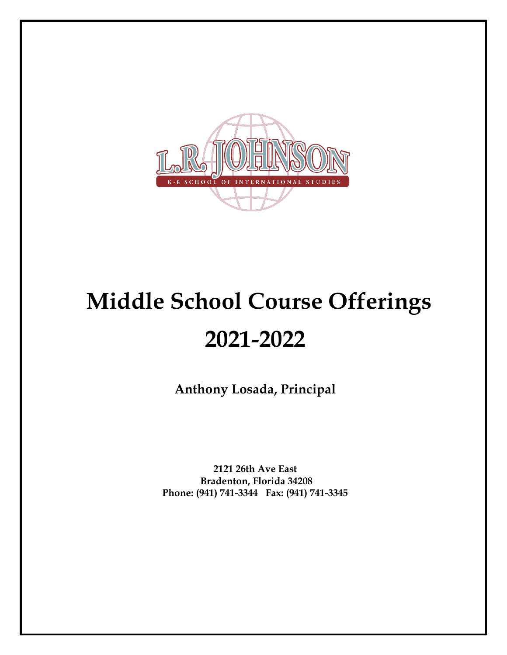

# **Middle School Course Offerings 2021-2022**

**Anthony Losada, Principal**

**2121 26th Ave East Bradenton, Florida 34208 Phone: (941) 741-3344 Fax: (941) 741-3345**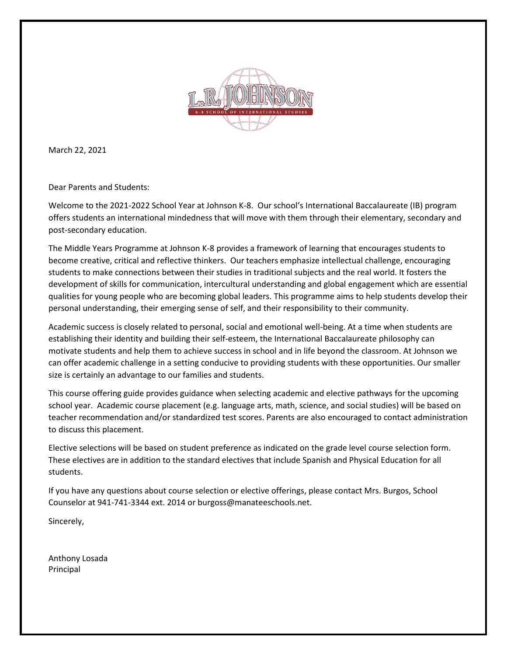

March 22, 2021

Dear Parents and Students:

Welcome to the 2021-2022 School Year at Johnson K-8. Our school's International Baccalaureate (IB) program offers students an international mindedness that will move with them through their elementary, secondary and post-secondary education.

The Middle Years Programme at Johnson K-8 provides a framework of learning that encourages students to become creative, critical and reflective thinkers. Our teachers emphasize intellectual challenge, encouraging students to make connections between their studies in traditional subjects and the real world. It fosters the development of skills for communication, intercultural understanding and global engagement which are essential qualities for young people who are becoming global leaders. This programme aims to help students develop their personal understanding, their emerging sense of self, and their responsibility to their community.

Academic success is closely related to personal, social and emotional well-being. At a time when students are establishing their identity and building their self-esteem, the International Baccalaureate philosophy can motivate students and help them to achieve success in school and in life beyond the classroom. At Johnson we can offer academic challenge in a setting conducive to providing students with these opportunities. Our smaller size is certainly an advantage to our families and students.

This course offering guide provides guidance when selecting academic and elective pathways for the upcoming school year. Academic course placement (e.g. language arts, math, science, and social studies) will be based on teacher recommendation and/or standardized test scores. Parents are also encouraged to contact administration to discuss this placement.

Elective selections will be based on student preference as indicated on the grade level course selection form. These electives are in addition to the standard electives that include Spanish and Physical Education for all students.

If you have any questions about course selection or elective offerings, please contact Mrs. Burgos, School Counselor at 941-741-3344 ext. 2014 or burgoss@manateeschools.net.

Sincerely,

Anthony Losada Principal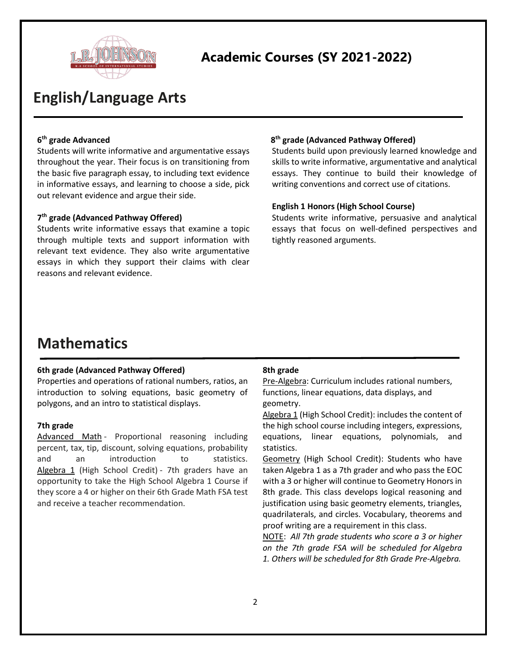

### **Academic Courses (SY 2021-2022)**

## **English/Language Arts**

#### **6 th grade Advanced**

Students will write informative and argumentative essays throughout the year. Their focus is on transitioning from the basic five paragraph essay, to including text evidence in informative essays, and learning to choose a side, pick out relevant evidence and argue their side.

#### **7 th grade (Advanced Pathway Offered)**

Students write informative essays that examine a topic through multiple texts and support information with relevant text evidence. They also write argumentative essays in which they support their claims with clear reasons and relevant evidence.

#### **8 th grade (Advanced Pathway Offered)**

Students build upon previously learned knowledge and skills to write informative, argumentative and analytical essays. They continue to build their knowledge of writing conventions and correct use of citations.

#### **English 1 Honors (High School Course)**

Students write informative, persuasive and analytical essays that focus on well-defined perspectives and tightly reasoned arguments.

### **Mathematics**

#### **6th grade (Advanced Pathway Offered)**

Properties and operations of rational numbers, ratios, an introduction to solving equations, basic geometry of polygons, and an intro to statistical displays.

#### **7th grade**

Advanced Math - Proportional reasoning including percent, tax, tip, discount, solving equations, probability and an introduction to statistics. Algebra 1 (High School Credit) - 7th graders have an opportunity to take the High School Algebra 1 Course if they score a 4 or higher on their 6th Grade Math FSA test and receive a teacher recommendation.

#### **8th grade**

Pre-Algebra: Curriculum includes rational numbers, functions, linear equations, data displays, and geometry.

Algebra 1 (High School Credit): includes the content of the high school course including integers, expressions, equations, linear equations, polynomials, and statistics.

Geometry (High School Credit): Students who have taken Algebra 1 as a 7th grader and who pass the EOC with a 3 or higher will continue to Geometry Honors in 8th grade. This class develops logical reasoning and justification using basic geometry elements, triangles, quadrilaterals, and circles. Vocabulary, theorems and proof writing are a requirement in this class.

NOTE: *All 7th grade students who score a 3 or higher on the 7th grade FSA will be scheduled for Algebra 1. Others will be scheduled for 8th Grade Pre-Algebra.*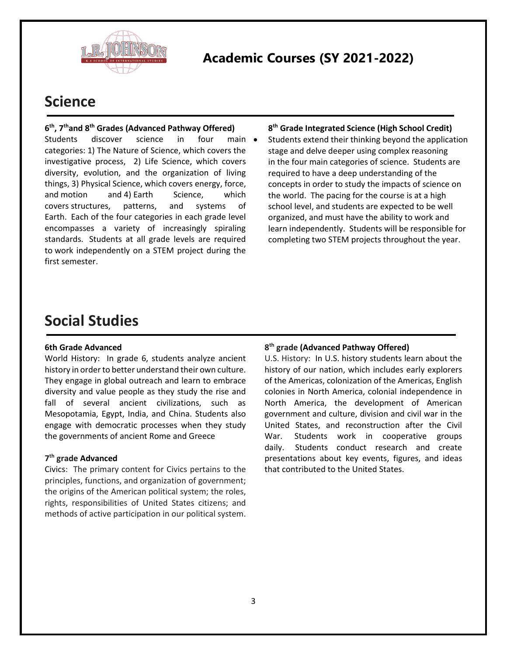

### **Academic Courses (SY 2021-2022)**

### **Science**

#### **6 th, 7thand 8th Grades (Advanced Pathway Offered)**

Students discover science in four main • categories: 1) The Nature of Science, which covers the investigative process, 2) Life Science, which covers diversity, evolution, and the organization of living things, 3) Physical Science, which covers energy, force, and motion and 4) Earth Science, which covers structures, patterns, and systems of Earth. Each of the four categories in each grade level encompasses a variety of increasingly spiraling standards. Students at all grade levels are required to work independently on a STEM project during the first semester.

#### **8 th Grade Integrated Science (High School Credit)**

Students extend their thinking beyond the application stage and delve deeper using complex reasoning in the four main categories of science. Students are required to have a deep understanding of the concepts in order to study the impacts of science on the world. The pacing for the course is at a high school level, and students are expected to be well organized, and must have the ability to work and learn independently. Students will be responsible for completing two STEM projects throughout the year.

### **Social Studies**

#### **6th Grade Advanced**

World History: In grade 6, students analyze ancient history in order to better understand their own culture. They engage in global outreach and learn to embrace diversity and value people as they study the rise and fall of several ancient civilizations, such as Mesopotamia, Egypt, India, and China. Students also engage with democratic processes when they study the governments of ancient Rome and Greece

#### **7 th grade Advanced**

Civics: The primary content for Civics pertains to the principles, functions, and organization of government; the origins of the American political system; the roles, rights, responsibilities of United States citizens; and methods of active participation in our political system.

#### **8 th grade (Advanced Pathway Offered)**

U.S. History: In U.S. history students learn about the history of our nation, which includes early explorers of the Americas, colonization of the Americas, English colonies in North America, colonial independence in North America, the development of American government and culture, division and civil war in the United States, and reconstruction after the Civil War. Students work in cooperative groups daily. Students conduct research and create presentations about key events, figures, and ideas that contributed to the United States.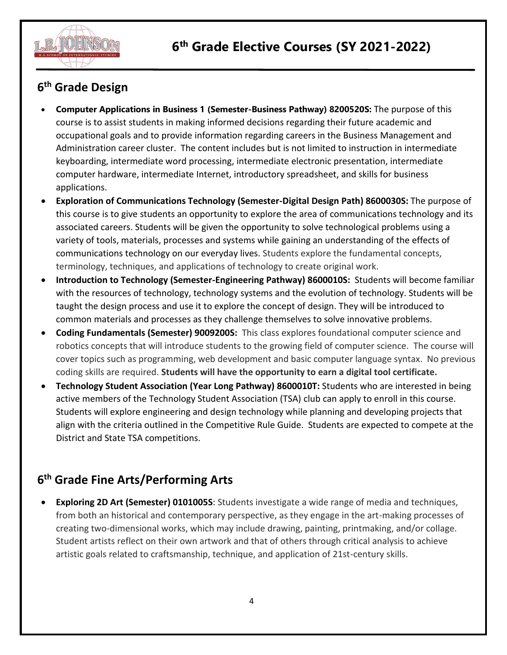

### **6 th Grade Design**

- **Computer Applications in Business 1 (Semester-Business Pathway) 8200520S:** The purpose of this course is to assist students in making informed decisions regarding their future academic and occupational goals and to provide information regarding careers in the Business Management and Administration career cluster. The content includes but is not limited to instruction in intermediate keyboarding, intermediate word processing, intermediate electronic presentation, intermediate computer hardware, intermediate Internet, introductory spreadsheet, and skills for business applications.
- **Exploration of Communications Technology (Semester-Digital Design Path) 8600030S:** The purpose of this course is to give students an opportunity to explore the area of communications technology and its associated careers. Students will be given the opportunity to solve technological problems using a variety of tools, materials, processes and systems while gaining an understanding of the effects of communications technology on our everyday lives. Students explore the fundamental concepts, terminology, techniques, and applications of technology to create original work.
- **Introduction to Technology (Semester-Engineering Pathway) 8600010S:** Students will become familiar with the resources of technology, technology systems and the evolution of technology. Students will be taught the design process and use it to explore the concept of design. They will be introduced to common materials and processes as they challenge themselves to solve innovative problems.
- **Coding Fundamentals (Semester) 9009200S:** This class explores foundational computer science and robotics concepts that will introduce students to the growing field of computer science. The course will cover topics such as programming, web development and basic computer language syntax. No previous coding skills are required. **Students will have the opportunity to earn a digital tool certificate.**
- **Technology Student Association (Year Long Pathway) 8600010T:** Students who are interested in being active members of the Technology Student Association (TSA) club can apply to enroll in this course. Students will explore engineering and design technology while planning and developing projects that align with the criteria outlined in the Competitive Rule Guide. Students are expected to compete at the District and State TSA competitions.

### **6 th Grade Fine Arts/Performing Arts**

• **Exploring 2D Art (Semester) 0101005S**: Students investigate a wide range of media and techniques, from both an historical and contemporary perspective, as they engage in the art-making processes of creating two-dimensional works, which may include drawing, painting, printmaking, and/or collage. Student artists reflect on their own artwork and that of others through critical analysis to achieve artistic goals related to craftsmanship, technique, and application of 21st-century skills.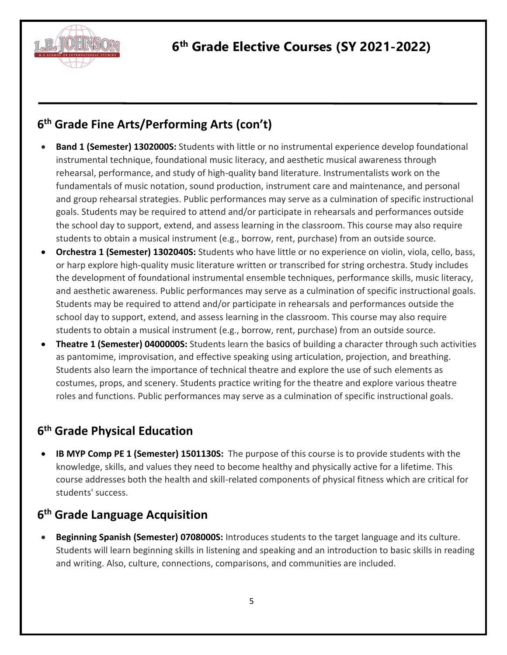

### **6 th Grade Fine Arts/Performing Arts (con't)**

- **Band 1 (Semester) 1302000S:** Students with little or no instrumental experience develop foundational instrumental technique, foundational music literacy, and aesthetic musical awareness through rehearsal, performance, and study of high-quality band literature. Instrumentalists work on the fundamentals of music notation, sound production, instrument care and maintenance, and personal and group rehearsal strategies. Public performances may serve as a culmination of specific instructional goals. Students may be required to attend and/or participate in rehearsals and performances outside the school day to support, extend, and assess learning in the classroom. This course may also require students to obtain a musical instrument (e.g., borrow, rent, purchase) from an outside source.
- **Orchestra 1 (Semester) 1302040S:** Students who have little or no experience on violin, viola, cello, bass, or harp explore high-quality music literature written or transcribed for string orchestra. Study includes the development of foundational instrumental ensemble techniques, performance skills, music literacy, and aesthetic awareness. Public performances may serve as a culmination of specific instructional goals. Students may be required to attend and/or participate in rehearsals and performances outside the school day to support, extend, and assess learning in the classroom. This course may also require students to obtain a musical instrument (e.g., borrow, rent, purchase) from an outside source.
- **Theatre 1 (Semester) 0400000S:** Students learn the basics of building a character through such activities as pantomime, improvisation, and effective speaking using articulation, projection, and breathing. Students also learn the importance of technical theatre and explore the use of such elements as costumes, props, and scenery. Students practice writing for the theatre and explore various theatre roles and functions. Public performances may serve as a culmination of specific instructional goals.

### **6 th Grade Physical Education**

• **IB MYP Comp PE 1 (Semester) 1501130S:** The purpose of this course is to provide students with the knowledge, skills, and values they need to become healthy and physically active for a lifetime. This course addresses both the health and skill-related components of physical fitness which are critical for students' success.

### **6 th Grade Language Acquisition**

• **Beginning Spanish (Semester) 0708000S:** Introduces students to the target language and its culture. Students will learn beginning skills in listening and speaking and an introduction to basic skills in reading and writing. Also, culture, connections, comparisons, and communities are included.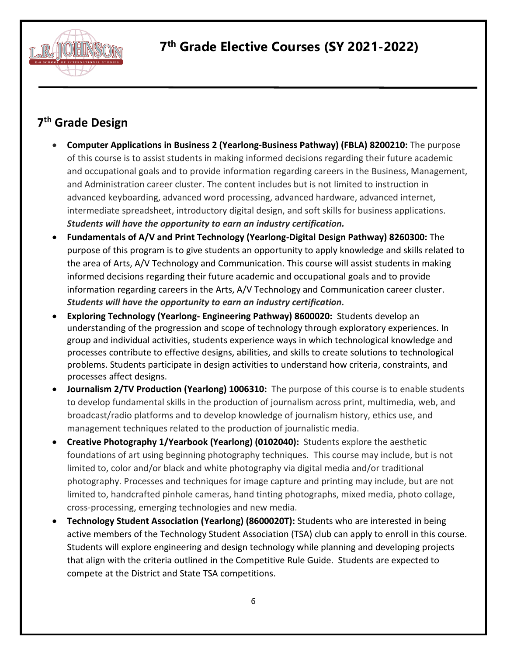

**7 th Grade Elective Courses (SY 2021-2022)**

### **7 th Grade Design**

- **Computer Applications in Business 2 (Yearlong-Business Pathway) (FBLA) 8200210:** The purpose of this course is to assist students in making informed decisions regarding their future academic and occupational goals and to provide information regarding careers in the Business, Management, and Administration career cluster. The content includes but is not limited to instruction in advanced keyboarding, advanced word processing, advanced hardware, advanced internet, intermediate spreadsheet, introductory digital design, and soft skills for business applications. *Students will have the opportunity to earn an industry certification.*
- **Fundamentals of A/V and Print Technology (Yearlong-Digital Design Pathway) 8260300:** The purpose of this program is to give students an opportunity to apply knowledge and skills related to the area of Arts, A/V Technology and Communication. This course will assist students in making informed decisions regarding their future academic and occupational goals and to provide information regarding careers in the Arts, A/V Technology and Communication career cluster. *Students will have the opportunity to earn an industry certification.*
- **Exploring Technology (Yearlong- Engineering Pathway) 8600020:** Students develop an understanding of the progression and scope of technology through exploratory experiences. In group and individual activities, students experience ways in which technological knowledge and processes contribute to effective designs, abilities, and skills to create solutions to technological problems. Students participate in design activities to understand how criteria, constraints, and processes affect designs.
- **Journalism 2/TV Production (Yearlong) 1006310:** The purpose of this course is to enable students to develop fundamental skills in the production of journalism across print, multimedia, web, and broadcast/radio platforms and to develop knowledge of journalism history, ethics use, and management techniques related to the production of journalistic media.
- **Creative Photography 1/Yearbook (Yearlong) (0102040):** Students explore the aesthetic foundations of art using beginning photography techniques. This course may include, but is not limited to, color and/or black and white photography via digital media and/or traditional photography. Processes and techniques for image capture and printing may include, but are not limited to, handcrafted pinhole cameras, hand tinting photographs, mixed media, photo collage, cross-processing, emerging technologies and new media.
- **Technology Student Association (Yearlong) (8600020T):** Students who are interested in being active members of the Technology Student Association (TSA) club can apply to enroll in this course. Students will explore engineering and design technology while planning and developing projects that align with the criteria outlined in the Competitive Rule Guide. Students are expected to compete at the District and State TSA competitions.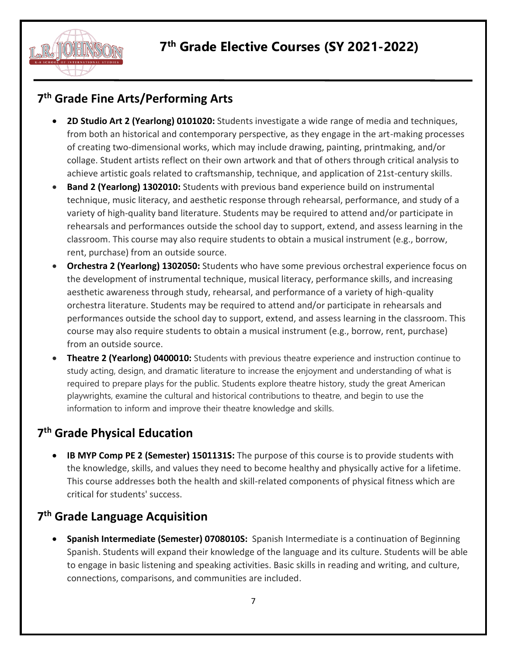

**7 th Grade Elective Courses (SY 2021-2022)**

### **7 th Grade Fine Arts/Performing Arts**

- **2D Studio Art 2 (Yearlong) 0101020:** Students investigate a wide range of media and techniques, from both an historical and contemporary perspective, as they engage in the art-making processes of creating two-dimensional works, which may include drawing, painting, printmaking, and/or collage. Student artists reflect on their own artwork and that of others through critical analysis to achieve artistic goals related to craftsmanship, technique, and application of 21st-century skills.
- **Band 2 (Yearlong) 1302010:** Students with previous band experience build on instrumental technique, music literacy, and aesthetic response through rehearsal, performance, and study of a variety of high-quality band literature. Students may be required to attend and/or participate in rehearsals and performances outside the school day to support, extend, and assess learning in the classroom. This course may also require students to obtain a musical instrument (e.g., borrow, rent, purchase) from an outside source.
- **Orchestra 2 (Yearlong) 1302050:** Students who have some previous orchestral experience focus on the development of instrumental technique, musical literacy, performance skills, and increasing aesthetic awareness through study, rehearsal, and performance of a variety of high-quality orchestra literature. Students may be required to attend and/or participate in rehearsals and performances outside the school day to support, extend, and assess learning in the classroom. This course may also require students to obtain a musical instrument (e.g., borrow, rent, purchase) from an outside source.
- **Theatre 2 (Yearlong) 0400010:** Students with previous theatre experience and instruction continue to study acting, design, and dramatic literature to increase the enjoyment and understanding of what is required to prepare plays for the public. Students explore theatre history, study the great American playwrights, examine the cultural and historical contributions to theatre, and begin to use the information to inform and improve their theatre knowledge and skills.

### **7 th Grade Physical Education**

• **IB MYP Comp PE 2 (Semester) 1501131S:** The purpose of this course is to provide students with the knowledge, skills, and values they need to become healthy and physically active for a lifetime. This course addresses both the health and skill-related components of physical fitness which are critical for students' success.

### **7 th Grade Language Acquisition**

• **Spanish Intermediate (Semester) 0708010S:** Spanish Intermediate is a continuation of Beginning Spanish. Students will expand their knowledge of the language and its culture. Students will be able to engage in basic listening and speaking activities. Basic skills in reading and writing, and culture, connections, comparisons, and communities are included.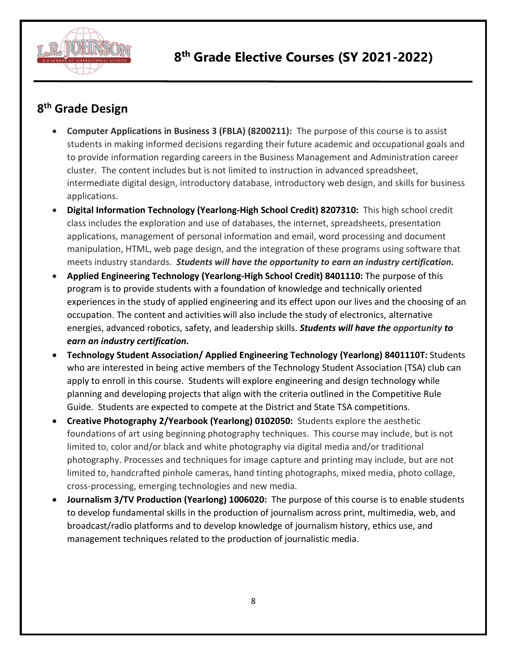

### **8 th Grade Design**

- **Computer Applications in Business 3 (FBLA) (8200211):** The purpose of this course is to assist students in making informed decisions regarding their future academic and occupational goals and to provide information regarding careers in the Business Management and Administration career cluster. The content includes but is not limited to instruction in advanced spreadsheet, intermediate digital design, introductory database, introductory web design, and skills for business applications.
- **Digital Information Technology (Yearlong-High School Credit) 8207310:** This high school credit class includes the exploration and use of databases, the internet, spreadsheets, presentation applications, management of personal information and email, word processing and document manipulation, HTML, web page design, and the integration of these programs using software that meets industry standards. *Students will have the opportunity to earn an industry certification.*
- **Applied Engineering Technology (Yearlong-High School Credit) 8401110:** The purpose of this program is to provide students with a foundation of knowledge and technically oriented experiences in the study of applied engineering and its effect upon our lives and the choosing of an occupation. The content and activities will also include the study of electronics, alternative energies, advanced robotics, safety, and leadership skills. *Students will have the opportunity to earn an industry certification.*
- **Technology Student Association/ Applied Engineering Technology (Yearlong) 8401110T:** Students who are interested in being active members of the Technology Student Association (TSA) club can apply to enroll in this course. Students will explore engineering and design technology while planning and developing projects that align with the criteria outlined in the Competitive Rule Guide. Students are expected to compete at the District and State TSA competitions.
- **Creative Photography 2/Yearbook (Yearlong) 0102050:** Students explore the aesthetic foundations of art using beginning photography techniques. This course may include, but is not limited to, color and/or black and white photography via digital media and/or traditional photography. Processes and techniques for image capture and printing may include, but are not limited to, handcrafted pinhole cameras, hand tinting photographs, mixed media, photo collage, cross-processing, emerging technologies and new media.
- **Journalism 3/TV Production (Yearlong) 1006020:** The purpose of this course is to enable students to develop fundamental skills in the production of journalism across print, multimedia, web, and broadcast/radio platforms and to develop knowledge of journalism history, ethics use, and management techniques related to the production of journalistic media.